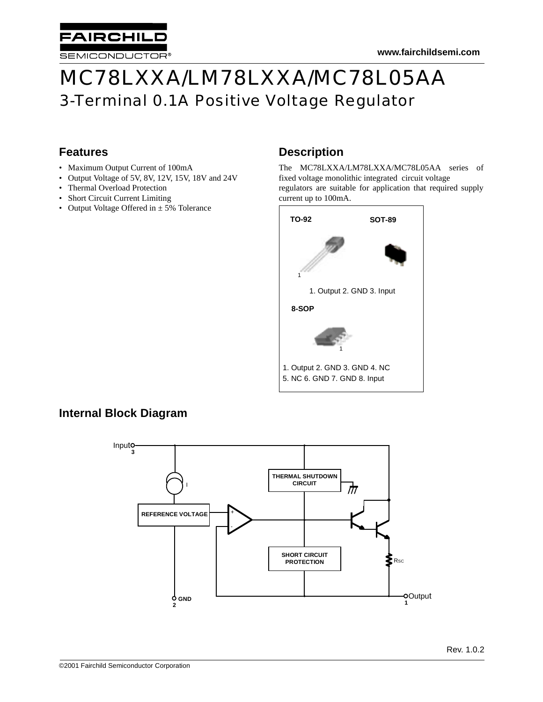

# MC78LXXA/LM78LXXA/MC78L05AA 3-Terminal 0.1A Positive Voltage Regulator

# **Features**

- Maximum Output Current of 100mA
- Output Voltage of 5V, 8V, 12V, 15V, 18V and 24V
- Thermal Overload Protection
- Short Circuit Current Limiting
- Output Voltage Offered in  $\pm$  5% Tolerance

# **Description**

The MC78LXXA/LM78LXXA/MC78L05AA series of fixed voltage monolithic integrated circuit voltage regulators are suitable for application that required supply current up to 100mA.



# **Internal Block Diagram**

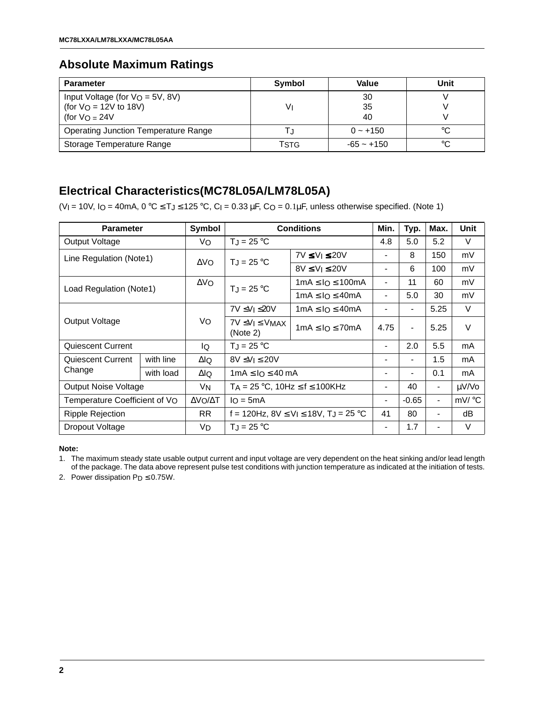# **Absolute Maximum Ratings**

| <b>Parameter</b>                            | Symbol | Value        | Unit |
|---------------------------------------------|--------|--------------|------|
| Input Voltage (for $V_O = 5V$ , 8V)         |        | 30           |      |
| (for $V_O = 12V$ to 18V)                    | V١     | 35<br>40     |      |
| (for $V_O = 24V$                            |        |              |      |
| <b>Operating Junction Temperature Range</b> |        | $0 - +150$   |      |
| Storage Temperature Range                   | TstG   | $-65 - +150$ | °C   |

# **Electrical Characteristics(MC78L05A/LM78L05A)**

(VI = 10V, IO = 40mA,  $0 °C \leq T_J \leq 125 °C$ , CI = 0.33 µF, CO = 0.1µF, unless otherwise specified. (Note 1)

| <b>Parameter</b>            |                                                        | Symbol      |                                                          | <b>Conditions</b>        | Min.                         | Typ.                     | Max.                         | Unit   |
|-----------------------------|--------------------------------------------------------|-------------|----------------------------------------------------------|--------------------------|------------------------------|--------------------------|------------------------------|--------|
| Output Voltage              |                                                        | Vo          | $T_J = 25 °C$                                            |                          | 4.8                          | 5.0                      | 5.2                          | V      |
| Line Regulation (Note1)     |                                                        | $\Delta$ Vo | $T_J = 25 °C$                                            | $7V \leq V_1 \leq 20V$   | $\blacksquare$               | 8                        | 150                          | mV     |
|                             |                                                        |             |                                                          | $8V \le V_1 \le 20V$     | $\blacksquare$               | 6                        | 100                          | mV     |
| Load Regulation (Note1)     |                                                        | $\Delta$ VO | $T_J = 25 °C$                                            | $1mA \leq 10 \leq 100mA$ | $\blacksquare$               | 11                       | 60                           | mV     |
|                             |                                                        |             |                                                          | $1mA \leq IO \leq 40mA$  | $\blacksquare$               | 5.0                      | 30                           | mV     |
|                             |                                                        |             | 7V ≤VI ≤20V                                              | $1mA \leq 10 \leq 40mA$  | $\qquad \qquad \blacksquare$ | $\overline{\phantom{a}}$ | 5.25                         | V      |
| Output Voltage              |                                                        | Vo          | $7V \leq V_1 \leq V_{MAX}$<br>(Note 2)                   | $1mA \leq 10 \leq 70mA$  | 4.75                         | $\overline{\phantom{0}}$ | 5.25                         | $\vee$ |
| Quiescent Current           |                                                        | lQ          | $T_J = 25 °C$                                            |                          | -                            | 2.0                      | 5.5                          | mA     |
| Quiescent Current           | with line                                              | $\Delta$ lQ | $8V \leq V_1 \leq 20V$                                   |                          | $\blacksquare$               | $\overline{\phantom{0}}$ | 1.5                          | mA     |
| Change                      | with load                                              | ΔlQ         | $1mA \leq IQ \leq 40mA$                                  |                          | $\blacksquare$               | -                        | 0.1                          | mA     |
| <b>Output Noise Voltage</b> |                                                        | VN.         | $TA = 25 °C$ , 10Hz $\le f \le 100$ KHz                  |                          | -                            | 40                       | $\qquad \qquad \blacksquare$ | µV/Vo  |
|                             | Temperature Coefficient of VO<br>ΔVΟ/ΔΤ<br>$I_O = 5mA$ |             | $\blacksquare$                                           | $-0.65$                  | $\qquad \qquad \blacksquare$ | mV/ °C                   |                              |        |
| Ripple Rejection            |                                                        | RR.         | f = 120Hz, $8V \le V_1 \le 18V$ , T <sub>J</sub> = 25 °C |                          | 41                           | 80                       | $\blacksquare$               | dB     |
| Dropout Voltage             |                                                        | VD          | $T_{\rm J} = 25 \,^{\circ}\text{C}$                      |                          |                              | 1.7                      |                              | V      |

#### **Note:**

1. The maximum steady state usable output current and input voltage are very dependent on the heat sinking and/or lead length of the package. The data above represent pulse test conditions with junction temperature as indicated at the initiation of tests.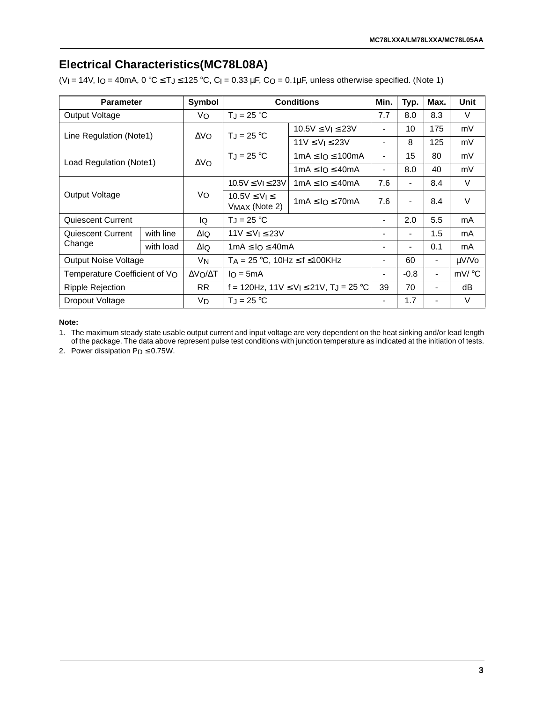# **Electrical Characteristics(MC78L08A)**

(VI = 14V, IO = 40mA,  $0 °C \leq T_J \leq 125 °C$ , CI = 0.33 µF, CO = 0.1µF, unless otherwise specified. (Note 1)

| <b>Parameter</b>              |           | Symbol       |                                                           | <b>Conditions</b>         | Min.                         | Typ.                     | Max.                     | <b>Unit</b> |
|-------------------------------|-----------|--------------|-----------------------------------------------------------|---------------------------|------------------------------|--------------------------|--------------------------|-------------|
| Output Voltage                |           | Vo           | $T_J = 25 °C$                                             |                           |                              | 8.0                      | 8.3                      | V           |
| Line Regulation (Note1)       |           | $\Delta$ VO  | $T_J = 25 °C$                                             | $10.5V \le V$   $\le 23V$ | $\blacksquare$               | 10                       | 175                      | mV          |
|                               |           |              |                                                           | $11V \le V_l \le 23V$     | $\overline{\phantom{0}}$     | 8                        | 125                      | mV          |
| Load Regulation (Note1)       |           | $\Delta V_O$ | $TJ = 25 °C$                                              | $1mA \leq 10 \leq 100mA$  | $\qquad \qquad \blacksquare$ | 15                       | 80                       | mV          |
|                               |           |              |                                                           | $1mA \leq IO \leq 40mA$   | $\overline{\phantom{0}}$     | 8.0                      | 40                       | mV          |
|                               |           |              | $10.5V \le V_1 \le 23V$                                   | $1mA \leq IO \leq 40mA$   | 7.6                          | $\overline{\phantom{a}}$ | 8.4                      | V           |
| Output Voltage                |           | Vo           | $10.5V \leq V_1 \leq$<br>VMAX (Note 2)                    | $1mA \leq 1Q \leq 70mA$   | 7.6                          | $\overline{\phantom{a}}$ | 8.4                      | V           |
| Quiescent Current             |           | lQ           | $T_J = 25 °C$                                             |                           | $\blacksquare$               | 2.0                      | 5.5                      | mA          |
| Quiescent Current             | with line | ΔlQ          | $11V \le V_1 \le 23V$                                     |                           | -                            | $\overline{\phantom{a}}$ | 1.5                      | mA          |
| Change                        | with load | $\Delta$ lQ  | $1mA \leq IO \leq 40mA$                                   |                           |                              |                          | 0.1                      | mA          |
| <b>Output Noise Voltage</b>   |           | VN           | $T_A = 25 \degree C$ , 10Hz $\leq f \leq 100$ KHz         |                           | $\blacksquare$               | 60                       | $\overline{\phantom{a}}$ | µV/Vo       |
| Temperature Coefficient of VO |           | ΔVΟ/ΔΤ       | $IQ = 5mA$                                                |                           | -                            | $-0.8$                   | $\blacksquare$           | mV/°C       |
| Ripple Rejection              |           | RR.          | f = 120Hz, $11V \le V_1 \le 21V$ , T <sub>J</sub> = 25 °C |                           | 39                           | 70                       | $\overline{\phantom{0}}$ | dB          |
| Dropout Voltage               |           | VD.          | $T_J = 25 °C$                                             |                           |                              | 1.7                      |                          | V           |

**Note:**

1. The maximum steady state usable output current and input voltage are very dependent on the heat sinking and/or lead length of the package. The data above represent pulse test conditions with junction temperature as indicated at the initiation of tests.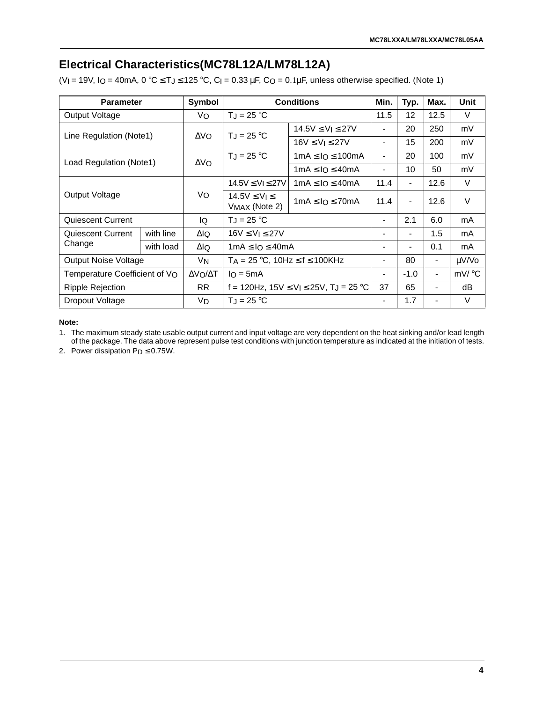# **Electrical Characteristics(MC78L12A/LM78L12A)**

(VI = 19V, IO = 40mA,  $0 °C \leq T_J \leq 125 °C$ , CI = 0.33 µF, CO = 0.1µF, unless otherwise specified. (Note 1)

| <b>Parameter</b>              |           | Symbol       |                                                           | <b>Conditions</b>         | Min.                         | Typ.                     | Max.                     | <b>Unit</b> |
|-------------------------------|-----------|--------------|-----------------------------------------------------------|---------------------------|------------------------------|--------------------------|--------------------------|-------------|
| Output Voltage                |           | Vo           | $T_J = 25 °C$                                             |                           |                              | 12                       | 12.5                     | V           |
| Line Regulation (Note1)       |           | $\Delta V_O$ | $T_J = 25 °C$                                             | $14.5V \le V$   $\le 27V$ | $\qquad \qquad \blacksquare$ | 20                       | 250                      | mV          |
|                               |           |              |                                                           | $16V \le V_1 \le 27V$     | $\overline{\phantom{0}}$     | 15                       | 200                      | mV          |
| Load Regulation (Note1)       |           | $\Delta V_O$ | $T_J = 25 °C$                                             | $1mA \leq 10 \leq 100mA$  | $\qquad \qquad \blacksquare$ | 20                       | 100                      | mV          |
|                               |           |              |                                                           | $1mA \leq lO \leq 40mA$   | $\overline{\phantom{0}}$     | 10                       | 50                       | mV          |
|                               |           |              | $14.5V \le V_1 \le 27V$                                   | $1mA \leq IO \leq 40mA$   | 11.4                         | $\overline{\phantom{a}}$ | 12.6                     | V           |
| Output Voltage                |           | Vo           | $14.5V \leq V_1 \leq$<br>VMAX (Note 2)                    | $1mA \leq 1Q \leq 70mA$   | 11.4                         | $\overline{\phantom{a}}$ | 12.6                     | V           |
| Quiescent Current             |           | lQ           | $T_J = 25 °C$                                             |                           |                              | 2.1                      | 6.0                      | mA          |
| Quiescent Current             | with line | ΔlQ          | $16V \le V_1 \le 27V$                                     |                           | -                            | $\overline{\phantom{a}}$ | 1.5                      | mA          |
| Change                        | with load | $\Delta$ lQ  | $1mA \leq IO \leq 40mA$                                   |                           |                              |                          | 0.1                      | mA          |
| <b>Output Noise Voltage</b>   |           | VN           | $T_A = 25$ °C, 10Hz $\le$ f $\le$ 100KHz                  |                           |                              | 80                       | $\overline{\phantom{a}}$ | µV/Vo       |
| Temperature Coefficient of VO |           | ΔVΟ/ΔΤ       | $IQ = 5mA$                                                |                           | $\blacksquare$               | $-1.0$                   | $\blacksquare$           | mV/ °C      |
| Ripple Rejection              |           | RR.          | f = 120Hz, $15V \le V_1 \le 25V$ , T <sub>J</sub> = 25 °C |                           | 37                           | 65                       |                          | dB          |
| Dropout Voltage               |           | VD.          | $T_J = 25 °C$                                             |                           |                              | 1.7                      |                          | V           |

**Note:**

1. The maximum steady state usable output current and input voltage are very dependent on the heat sinking and/or lead length of the package. The data above represent pulse test conditions with junction temperature as indicated at the initiation of tests.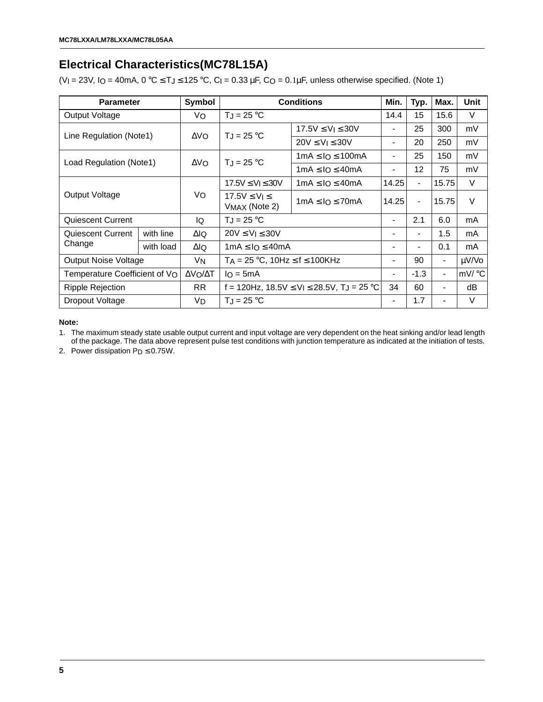# **Electrical Characteristics(MC78L15A)**

(VI = 23V, IO = 40mA,  $0 °C \leq T_J \leq 125 °C$ , CI = 0.33 µF, CO = 0.1µF, unless otherwise specified. (Note 1)

| <b>Parameter</b>              |           | Symbol               |                                                                             | <b>Conditions</b>         | Min.                     | Typ.                     | Max.           | Unit              |
|-------------------------------|-----------|----------------------|-----------------------------------------------------------------------------|---------------------------|--------------------------|--------------------------|----------------|-------------------|
| Output Voltage                |           | Vo                   | $T_J = 25 °C$                                                               |                           | 14.4                     | 15                       | 15.6           | V                 |
| Line Regulation (Note1)       |           | $\Delta$ VO          | $T_J = 25 °C$                                                               | $17.5V \le V$   $\le 30V$ | $\blacksquare$           | 25                       | 300            | mV                |
|                               |           |                      |                                                                             | $20V \le V_1 \le 30V$     | $\,$                     | 20                       | 250            | mV                |
| Load Regulation (Note1)       |           | $\Delta$ VO          | $T_J = 25 °C$                                                               | 1mA ≤ I $\circ$ ≤ 100mA   | $\overline{\phantom{a}}$ | 25                       | 150            | mV                |
|                               |           |                      |                                                                             | $1mA \leq lO \leq 40mA$   | $\blacksquare$           | 12 <sup>2</sup>          | 75             | mV                |
|                               |           |                      | $17.5V \le V_1 \le 30V$                                                     | $1mA \leq IO \leq 40mA$   | 14.25                    |                          | 15.75          | V                 |
| Output Voltage                |           | Vo                   | $17.5V \leq V_1 \leq$<br>VMAX (Note 2)                                      | $1mA \leq 10 \leq 70mA$   | 14.25                    | $\blacksquare$           | 15.75          | V                 |
| Quiescent Current             |           | lo.                  | $T_J = 25 °C$                                                               |                           | $\overline{\phantom{a}}$ | 2.1                      | 6.0            | mA                |
| Quiescent Current             | with line | ΔlQ                  | $20V \le V_1 \le 30V$                                                       |                           | $\overline{\phantom{a}}$ | $\overline{\phantom{0}}$ | 1.5            | mA                |
| Change                        | with load | ΔlQ                  | $1mA \leq IO \leq 40mA$                                                     |                           |                          |                          | 0.1            | mA                |
| Output Noise Voltage          |           | <b>V<sub>N</sub></b> | $TA = 25 \degree C$ , 10Hz $\leq f \leq 100$ KHz                            |                           | $\blacksquare$           | 90                       | $\blacksquare$ | µV/Vo             |
| Temperature Coefficient of VO |           | ΔVΟ/ΔΤ               | $IQ = 5mA$                                                                  |                           | $\blacksquare$           | $-1.3$                   | $\blacksquare$ | $mV$ $^{\circ}$ C |
| <b>Ripple Rejection</b>       |           | <b>RR</b>            | f = 120Hz, 18.5V $\leq$ V <sub>I</sub> $\leq$ 28.5V, T <sub>J</sub> = 25 °C |                           | 34                       | 60                       |                | dB                |
| Dropout Voltage               |           | VD                   | $T_J = 25 °C$                                                               |                           | $\overline{\phantom{a}}$ | 1.7                      |                | V                 |

**Note:**

1. The maximum steady state usable output current and input voltage are very dependent on the heat sinking and/or lead length of the package. The data above represent pulse test conditions with junction temperature as indicated at the initiation of tests.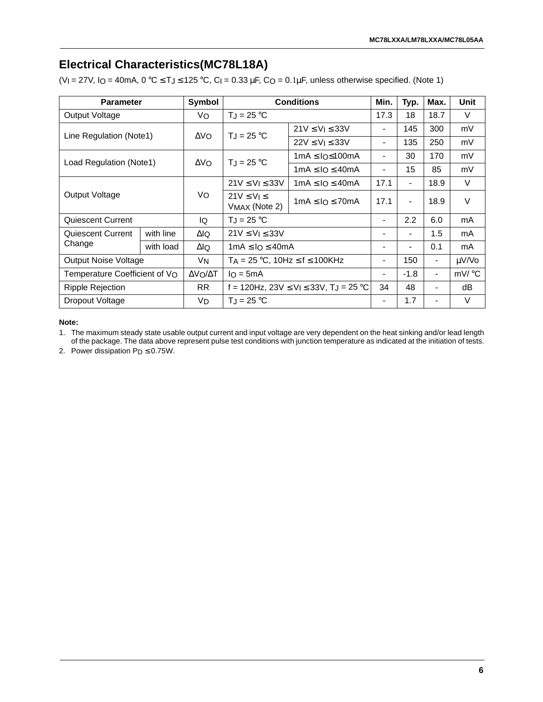# **Electrical Characteristics(MC78L18A)**

(VI = 27V, IO = 40mA,  $0 °C \leq T_J \leq 125 °C$ , CI = 0.33 µF, CO = 0.1µF, unless otherwise specified. (Note 1)

| <b>Parameter</b>              |           | Symbol       |                                                                         | <b>Conditions</b>                        | Min.                         | Typ.                     | Max.                     | <b>Unit</b> |
|-------------------------------|-----------|--------------|-------------------------------------------------------------------------|------------------------------------------|------------------------------|--------------------------|--------------------------|-------------|
| Output Voltage                |           | Vo           | $T_J = 25 °C$                                                           |                                          |                              | 18                       | 18.7                     | V           |
| Line Regulation (Note1)       |           | $\Delta V_O$ | $T_J = 25 °C$                                                           | $21V \le V \le 33V$                      | $\qquad \qquad \blacksquare$ | 145                      | 300                      | mV          |
|                               |           |              |                                                                         | $22V \le V_1 \le 33V$                    | $\blacksquare$               | 135                      | 250                      | mV          |
| Load Regulation (Note1)       |           | $\Delta V_O$ | $T_J = 25 °C$                                                           | $1mA \leq 10 \leq 100mA$                 | $\qquad \qquad \blacksquare$ | 30                       | 170                      | mV          |
|                               |           |              |                                                                         | $1mA \leq IO \leq 40mA$                  | $\overline{\phantom{0}}$     | 15                       | 85                       | mV          |
|                               |           |              | $21V \le V_1 \le 33V$                                                   | $1 \text{mA} \leq I_O \leq 40 \text{mA}$ | 17.1                         | $\overline{\phantom{a}}$ | 18.9                     | V           |
| Output Voltage                |           | Vo           | $21V \le V_1 \le$                                                       | $1mA \leq 1Q \leq 70mA$                  | 17.1                         | $\overline{\phantom{a}}$ | 18.9                     | V           |
|                               |           |              | VMAX (Note 2)                                                           |                                          |                              |                          |                          |             |
| Quiescent Current             |           | lQ           | $T_J = 25 °C$                                                           |                                          |                              | 2.2                      | 6.0                      | mA          |
| Quiescent Current             | with line | ΔlQ          | $21V \le V_1 \le 33V$                                                   |                                          | -                            | $\overline{\phantom{a}}$ | 1.5                      | mA          |
| Change                        | with load | $\Delta$ lQ  | $1mA \leq IO \leq 40mA$                                                 |                                          |                              |                          | 0.1                      | mA          |
| <b>Output Noise Voltage</b>   |           | VN           | $T_A = 25$ °C, 10Hz $\le$ f $\le$ 100KHz                                |                                          | $\qquad \qquad \blacksquare$ | 150                      | $\overline{\phantom{a}}$ | µV/Vo       |
| Temperature Coefficient of VO |           | ΔVΟ/ΔΤ       | $IQ = 5mA$                                                              |                                          | $\blacksquare$               | $-1.8$                   | $\blacksquare$           | mV/ °C      |
| Ripple Rejection              |           | RR.          | f = 120Hz, 23V $\leq$ V <sub>I</sub> $\leq$ 33V, T <sub>J</sub> = 25 °C |                                          | 34                           | 48                       |                          | dB          |
| Dropout Voltage               |           | VD.          | $T_J = 25 °C$                                                           |                                          |                              | 1.7                      |                          | V           |

**Note:**

1. The maximum steady state usable output current and input voltage are very dependent on the heat sinking and/or lead length of the package. The data above represent pulse test conditions with junction temperature as indicated at the initiation of tests.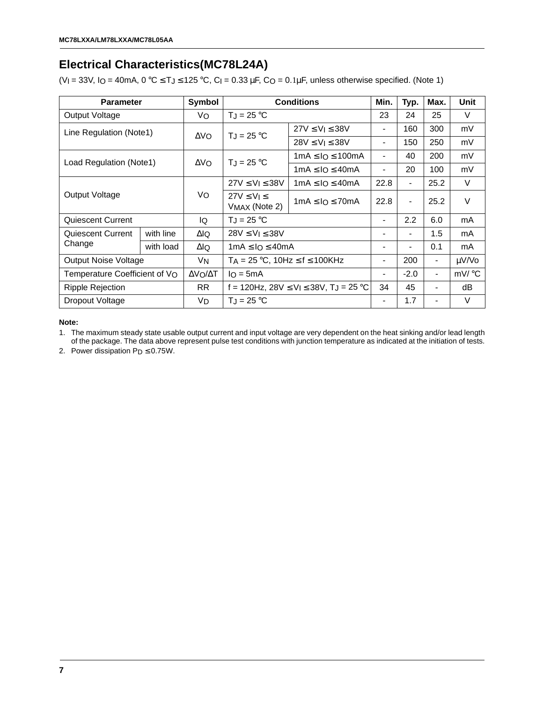# **Electrical Characteristics(MC78L24A)**

(VI = 33V, IO = 40mA,  $0 °C \leq T_J \leq 125 °C$ , CI = 0.33 µF, CO = 0.1µF, unless otherwise specified. (Note 1)

| <b>Parameter</b>                                       |                                                                               | Symbol       |                                                                         | <b>Conditions</b>                        | Min.                         | Typ.                     | Max.                     | <b>Unit</b> |
|--------------------------------------------------------|-------------------------------------------------------------------------------|--------------|-------------------------------------------------------------------------|------------------------------------------|------------------------------|--------------------------|--------------------------|-------------|
| Output Voltage                                         |                                                                               | Vo           | $T_J = 25 °C$                                                           |                                          |                              | 24                       | 25                       | V           |
| Line Regulation (Note1)                                |                                                                               | $\Delta V_O$ | $T_J = 25 °C$                                                           | $27V \le V$   $\le 38V$                  | $\qquad \qquad \blacksquare$ | 160                      | 300                      | mV          |
|                                                        |                                                                               |              |                                                                         | $28V \le V_1 \le 38V$                    | $\overline{\phantom{0}}$     | 150                      | 250                      | mV          |
| Load Regulation (Note1)                                |                                                                               | $\Delta V_O$ | $T_J = 25 °C$                                                           | $1mA \leq 10 \leq 100mA$                 | $\qquad \qquad \blacksquare$ | 40                       | 200                      | mV          |
|                                                        |                                                                               |              |                                                                         | $1mA \leq IO \leq 40mA$                  | $\blacksquare$               | 20                       | 100                      | mV          |
|                                                        |                                                                               |              | $27V \le V_1 \le 38V$                                                   | $1 \text{mA} \leq I_O \leq 40 \text{mA}$ | 22.8                         | $\overline{\phantom{a}}$ | 25.2                     | V           |
| Output Voltage                                         |                                                                               | Vo           | $27V \leq V_1 \leq$<br>VMAX (Note 2)                                    | $1mA \leq 1Q \leq 70mA$                  | 22.8                         | $\blacksquare$           | 25.2                     | V           |
| Quiescent Current                                      |                                                                               | lQ           | $T_J = 25 °C$                                                           |                                          | $\blacksquare$               | 2.2                      | 6.0                      | mA          |
| Quiescent Current                                      | with line                                                                     | ΔlQ          | $28V \le V_1 \le 38V$                                                   |                                          | -                            | $\overline{\phantom{a}}$ | 1.5                      | mA          |
| Change                                                 | with load                                                                     | $\Delta$ lQ  | $1mA \leq IO \leq 40mA$                                                 |                                          |                              |                          | 0.1                      | mA          |
|                                                        | <b>Output Noise Voltage</b><br>$T_A = 25$ °C, 10Hz $\le$ f $\le$ 100KHz<br>VN |              |                                                                         | $\qquad \qquad \blacksquare$             | 200                          | $\overline{\phantom{a}}$ | µV/Vo                    |             |
| Temperature Coefficient of VO<br>ΔVΟ/ΔΤ<br>$I_O = 5mA$ |                                                                               |              | -                                                                       | $-2.0$                                   | $\overline{\phantom{a}}$     | mV/ °C                   |                          |             |
| Ripple Rejection                                       |                                                                               | RR.          | f = 120Hz, 28V $\leq$ V <sub>I</sub> $\leq$ 38V, T <sub>J</sub> = 25 °C |                                          | 34                           | 45                       | $\overline{\phantom{0}}$ | dB          |
| Dropout Voltage                                        |                                                                               | VD.          | $T_J = 25 °C$                                                           |                                          |                              | 1.7                      |                          | V           |

**Note:**

1. The maximum steady state usable output current and input voltage are very dependent on the heat sinking and/or lead length of the package. The data above represent pulse test conditions with junction temperature as indicated at the initiation of tests.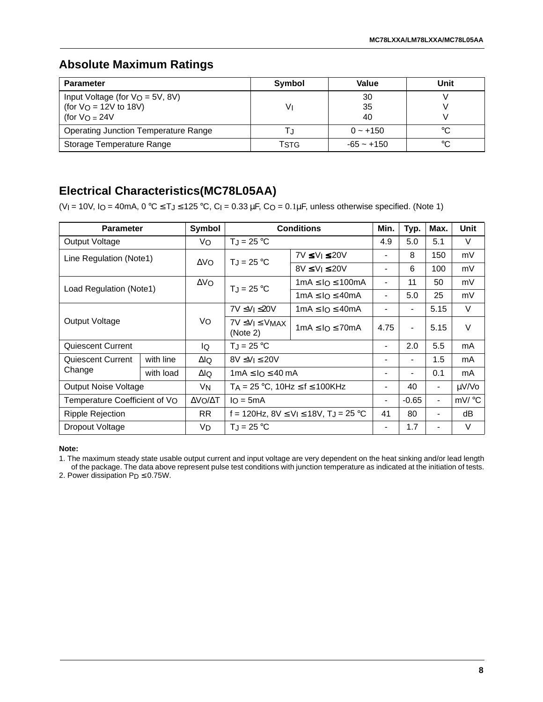### **Absolute Maximum Ratings**

| <b>Parameter</b>                             | Symbol | Value        | Unit |
|----------------------------------------------|--------|--------------|------|
| Input Voltage (for $V_O = 5V$ , 8V)          |        | 30           |      |
| (for $V_O = 12V$ to 18V)<br>(for $V_O = 24V$ | V١     | 35<br>40     |      |
|                                              |        |              |      |
| <b>Operating Junction Temperature Range</b>  |        | $0 - +150$   | °C   |
| Storage Temperature Range                    | TstG   | $-65 - +150$ | °C   |

# **Electrical Characteristics(MC78L05AA)**

(VI = 10V, IO = 40mA,  $0 °C \leq T_J \leq 125 °C$ , CI = 0.33 µF, CO = 0.1µF, unless otherwise specified. (Note 1)

| <b>Parameter</b>              |           | Symbol         |                                        | <b>Conditions</b>                                        | Min.                     | Typ.                     | Max.                     | <b>Unit</b> |
|-------------------------------|-----------|----------------|----------------------------------------|----------------------------------------------------------|--------------------------|--------------------------|--------------------------|-------------|
| Output Voltage                |           | Vo             | $T_J = 25 °C$                          |                                                          |                          | 5.0                      | 5.1                      | V           |
| Line Regulation (Note1)       |           | $\Delta$ VO    | $T_J = 25 °C$                          | $7V \le V$   $\le 20V$                                   | -                        | 8                        | 150                      | mV          |
|                               |           |                |                                        | $8V \leq V_1 \leq 20V$                                   | $\overline{\phantom{a}}$ | 6                        | 100                      | mV          |
|                               |           | $\Delta$ VO    | $T_J = 25 °C$                          | $1mA \leq 10 \leq 100mA$                                 | $\blacksquare$           | 11                       | 50                       | mV          |
| Load Regulation (Note1)       |           |                |                                        | $1mA \leq IO \leq 40mA$                                  | $\blacksquare$           | 5.0                      | 25                       | mV          |
| Output Voltage                |           |                | $7V \leq V_1 \leq 20V$                 | $1mA \leq 10 \leq 40mA$                                  | $\blacksquare$           | $\blacksquare$           | 5.15                     | V           |
|                               |           | Vo             | $7V \leq V_1 \leq V_{MAX}$<br>(Note 2) | $1mA \leq 10 \leq 70mA$                                  | 4.75                     | $\overline{\phantom{0}}$ | 5.15                     | V           |
| Quiescent Current             |           | lQ.            | $T_J = 25 °C$                          |                                                          | $\overline{\phantom{0}}$ | 2.0                      | 5.5                      | mA          |
| Quiescent Current             | with line | ΔlQ            | $8V \leq V_1 \leq 20V$                 |                                                          | $\overline{\phantom{a}}$ | $\overline{\phantom{0}}$ | 1.5                      | mA          |
| Change                        | with load | ΔlQ            | $1mA \leq 1Q \leq 40mA$                |                                                          | $\blacksquare$           | $\overline{\phantom{0}}$ | 0.1                      | mA          |
| <b>Output Noise Voltage</b>   |           | V <sub>N</sub> | $TA = 25 °C$ , $10Hz \le f \le 100KHz$ |                                                          | $\overline{\phantom{0}}$ | 40                       | $\overline{a}$           | µV/Vo       |
| Temperature Coefficient of VO |           | ΔVΟ/ΔΤ         | $I_O = 5mA$                            |                                                          | $\blacksquare$           | $-0.65$                  | $\overline{\phantom{a}}$ | mV/ °C      |
| Ripple Rejection              |           | RR.            |                                        | f = 120Hz, $8V \le V_1 \le 18V$ , T <sub>J</sub> = 25 °C | 41                       | 80                       | $\blacksquare$           | dB          |
| Dropout Voltage               |           | VD             | $T_{J}$ = 25 °C                        |                                                          |                          | 1.7                      |                          | V           |

#### **Note:**

1. The maximum steady state usable output current and input voltage are very dependent on the heat sinking and/or lead length of the package. The data above represent pulse test conditions with junction temperature as indicated at the initiation of tests.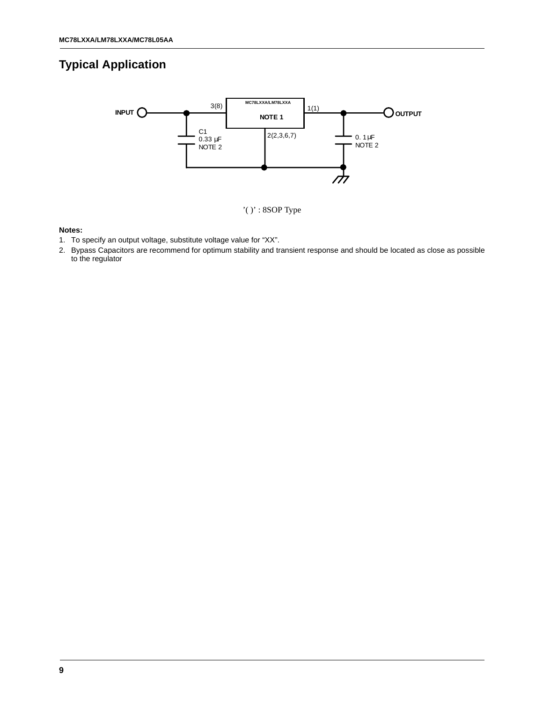# **Typical Application**



#### **Notes:**

- 1. To specify an output voltage, substitute voltage value for "XX".
- 2. Bypass Capacitors are recommend for optimum stability and transient response and should be located as close as possible to the regulator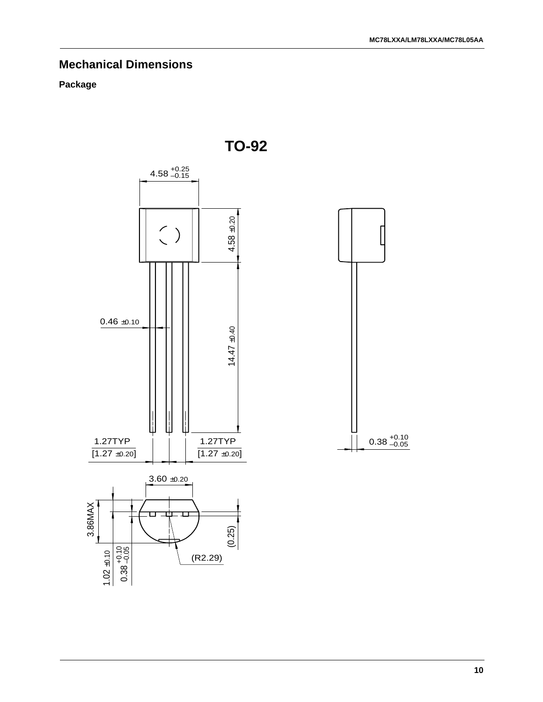# **Mechanical Dimensions**

### **Package**



**TO-92**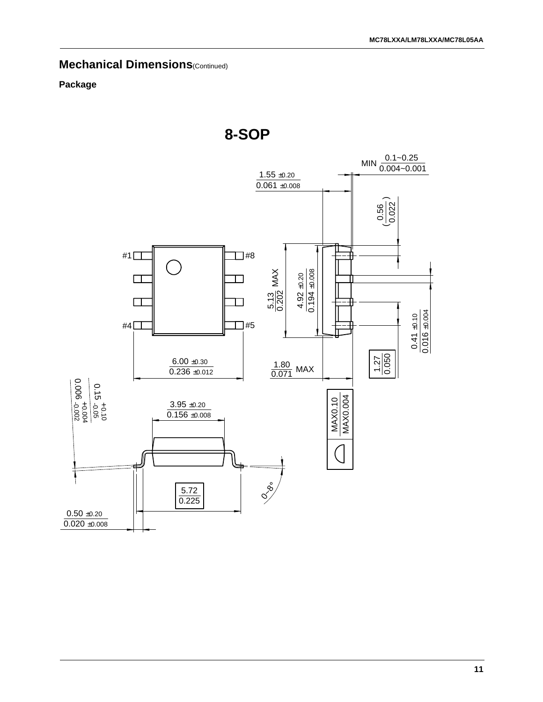# **Mechanical Dimensions**(Continued)

### **Package**



**8-SOP**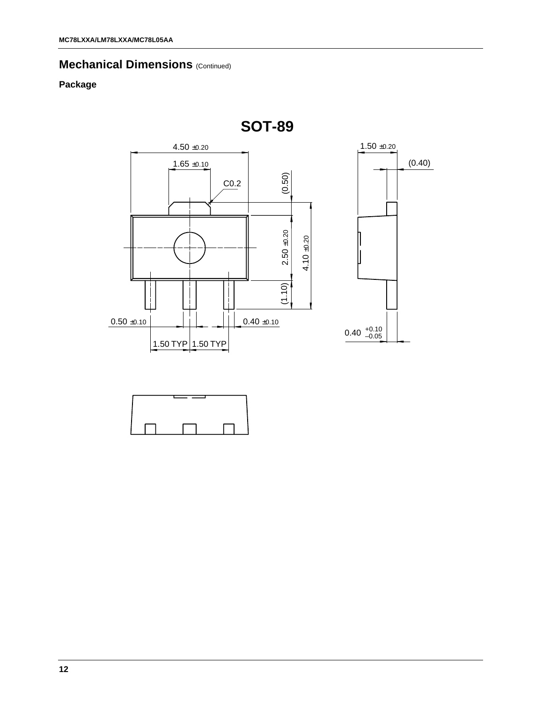# **Mechanical Dimensions (Continued)**

### **Package**





**SOT-89**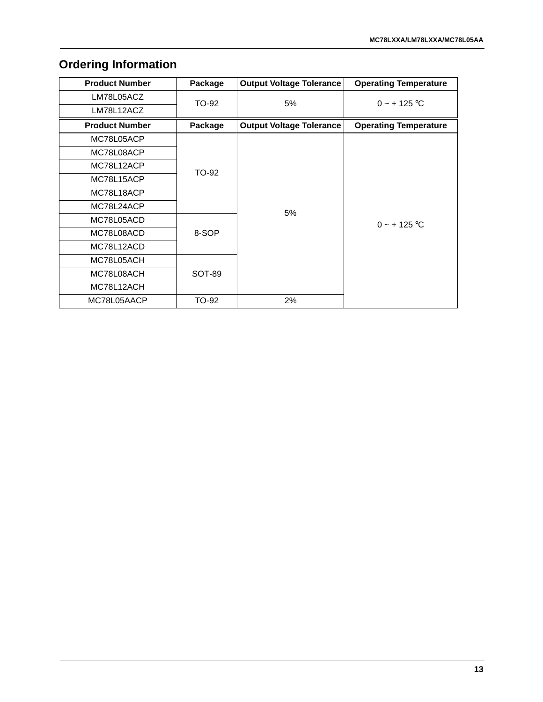# **Ordering Information**

| <b>Product Number</b> | Package | <b>Output Voltage Tolerance</b> | <b>Operating Temperature</b> |
|-----------------------|---------|---------------------------------|------------------------------|
| LM78L05ACZ            | TO-92   | 5%                              | $0 - + 125$ °C               |
| LM78L12ACZ            |         |                                 |                              |
| <b>Product Number</b> | Package | <b>Output Voltage Tolerance</b> | <b>Operating Temperature</b> |
| MC78L05ACP            |         |                                 |                              |
| MC78L08ACP            |         |                                 |                              |
| MC78L12ACP            | TO-92   |                                 |                              |
| MC78L15ACP            |         |                                 |                              |
| MC78L18ACP            |         |                                 |                              |
| MC78L24ACP            |         | 5%                              |                              |
| MC78L05ACD            |         |                                 | $0 - + 125$ °C               |
| MC78L08ACD            | 8-SOP   |                                 |                              |
| MC78L12ACD            |         |                                 |                              |
| MC78L05ACH            |         |                                 |                              |
| MC78L08ACH            | SOT-89  |                                 |                              |
| MC78L12ACH            |         |                                 |                              |
| MC78L05AACP           | TO-92   | 2%                              |                              |